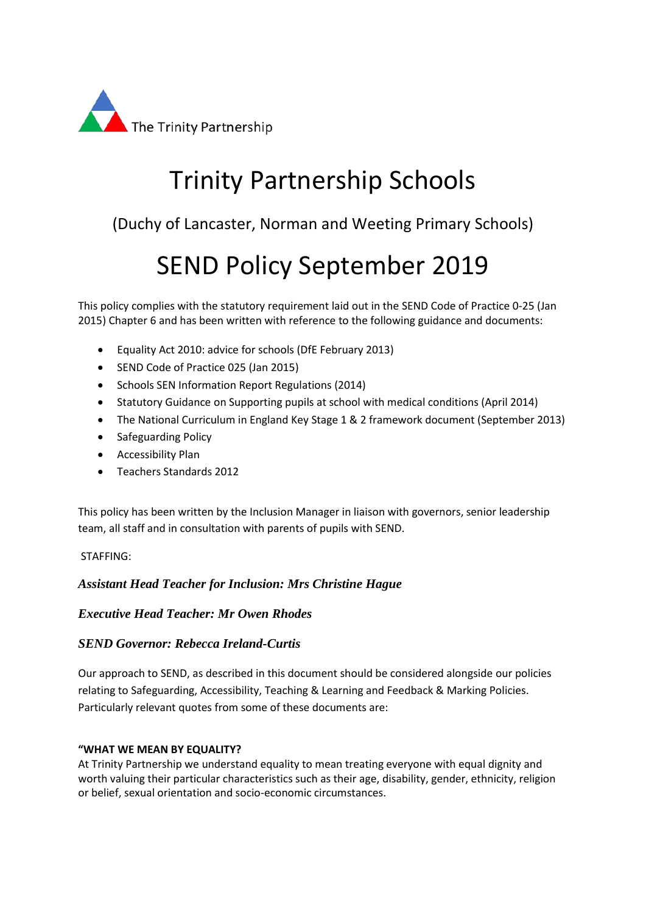

# Trinity Partnership Schools

(Duchy of Lancaster, Norman and Weeting Primary Schools)

# SEND Policy September 2019

This policy complies with the statutory requirement laid out in the SEND Code of Practice 0-25 (Jan 2015) Chapter 6 and has been written with reference to the following guidance and documents:

- Equality Act 2010: advice for schools (DfE February 2013)
- SEND Code of Practice 025 (Jan 2015)
- Schools SEN Information Report Regulations (2014)
- Statutory Guidance on Supporting pupils at school with medical conditions (April 2014)
- The National Curriculum in England Key Stage 1 & 2 framework document (September 2013)
- Safeguarding Policy
- Accessibility Plan
- Teachers Standards 2012

This policy has been written by the Inclusion Manager in liaison with governors, senior leadership team, all staff and in consultation with parents of pupils with SEND.

## STAFFING:

# *Assistant Head Teacher for Inclusion: Mrs Christine Hague*

# *Executive Head Teacher: Mr Owen Rhodes*

## *SEND Governor: Rebecca Ireland-Curtis*

Our approach to SEND, as described in this document should be considered alongside our policies relating to Safeguarding, Accessibility, Teaching & Learning and Feedback & Marking Policies. Particularly relevant quotes from some of these documents are:

## **"WHAT WE MEAN BY EQUALITY?**

At Trinity Partnership we understand equality to mean treating everyone with equal dignity and worth valuing their particular characteristics such as their age, disability, gender, ethnicity, religion or belief, sexual orientation and socio-economic circumstances.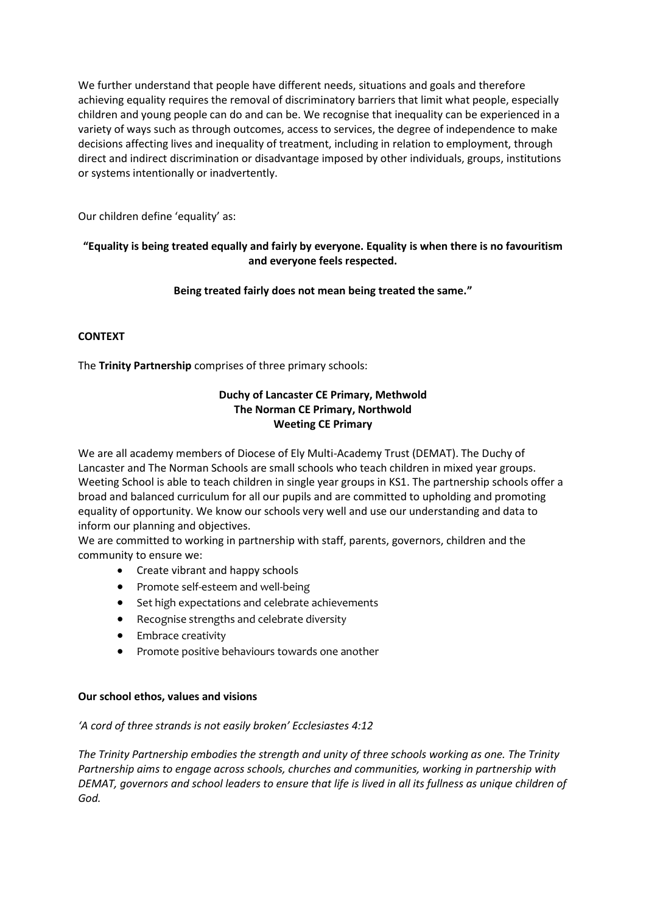We further understand that people have different needs, situations and goals and therefore achieving equality requires the removal of discriminatory barriers that limit what people, especially children and young people can do and can be. We recognise that inequality can be experienced in a variety of ways such as through outcomes, access to services, the degree of independence to make decisions affecting lives and inequality of treatment, including in relation to employment, through direct and indirect discrimination or disadvantage imposed by other individuals, groups, institutions or systems intentionally or inadvertently.

Our children define 'equality' as:

## **"Equality is being treated equally and fairly by everyone. Equality is when there is no favouritism and everyone feels respected.**

# **Being treated fairly does not mean being treated the same."**

# **CONTEXT**

The **Trinity Partnership** comprises of three primary schools:

## **Duchy of Lancaster CE Primary, Methwold The Norman CE Primary, Northwold Weeting CE Primary**

We are all academy members of Diocese of Ely Multi-Academy Trust (DEMAT). The Duchy of Lancaster and The Norman Schools are small schools who teach children in mixed year groups. Weeting School is able to teach children in single year groups in KS1. The partnership schools offer a broad and balanced curriculum for all our pupils and are committed to upholding and promoting equality of opportunity. We know our schools very well and use our understanding and data to inform our planning and objectives.

We are committed to working in partnership with staff, parents, governors, children and the community to ensure we:

- Create vibrant and happy schools
- Promote self-esteem and well-being
- Set high expectations and celebrate achievements
- Recognise strengths and celebrate diversity
- **•** Embrace creativity
- Promote positive behaviours towards one another

## **Our school ethos, values and visions**

## *'A cord of three strands is not easily broken' Ecclesiastes 4:12*

*The Trinity Partnership embodies the strength and unity of three schools working as one. The Trinity Partnership aims to engage across schools, churches and communities, working in partnership with DEMAT, governors and school leaders to ensure that life is lived in all its fullness as unique children of God.*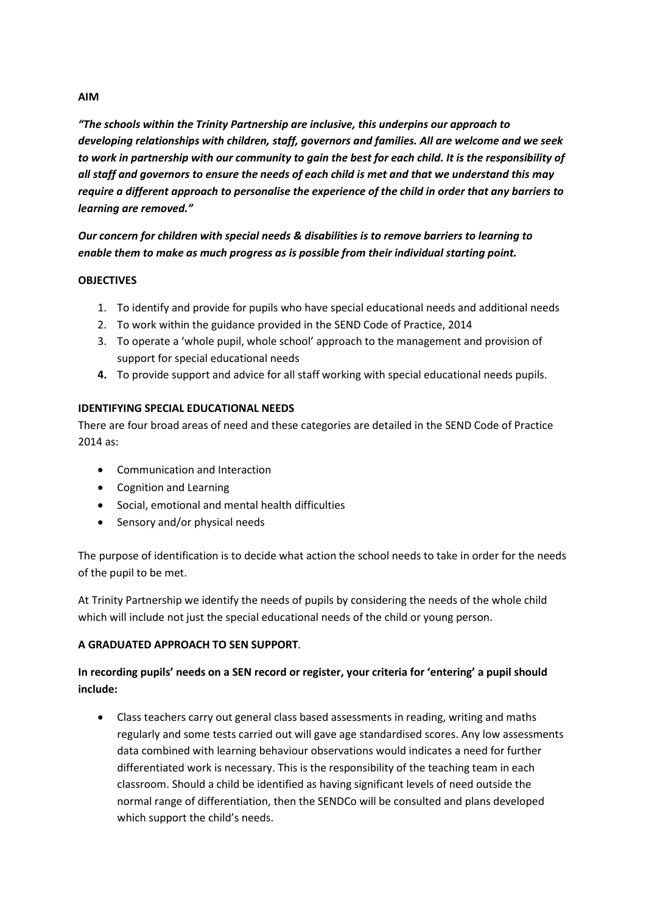#### **AIM**

*"The schools within the Trinity Partnership are inclusive, this underpins our approach to developing relationships with children, staff, governors and families. All are welcome and we seek to work in partnership with our community to gain the best for each child. It is the responsibility of all staff and governors to ensure the needs of each child is met and that we understand this may require a different approach to personalise the experience of the child in order that any barriers to learning are removed."*

*Our concern for children with special needs & disabilities is to remove barriers to learning to enable them to make as much progress as is possible from their individual starting point.*

#### **OBJECTIVES**

- 1. To identify and provide for pupils who have special educational needs and additional needs
- 2. To work within the guidance provided in the SEND Code of Practice, 2014
- 3. To operate a 'whole pupil, whole school' approach to the management and provision of support for special educational needs
- **4.** To provide support and advice for all staff working with special educational needs pupils.

## **IDENTIFYING SPECIAL EDUCATIONAL NEEDS**

There are four broad areas of need and these categories are detailed in the SEND Code of Practice 2014 as:

- Communication and Interaction
- Cognition and Learning
- Social, emotional and mental health difficulties
- Sensory and/or physical needs

The purpose of identification is to decide what action the school needs to take in order for the needs of the pupil to be met.

At Trinity Partnership we identify the needs of pupils by considering the needs of the whole child which will include not just the special educational needs of the child or young person.

## **A GRADUATED APPROACH TO SEN SUPPORT***.*

# **In recording pupils' needs on a SEN record or register, your criteria for 'entering' a pupil should include:**

 Class teachers carry out general class based assessments in reading, writing and maths regularly and some tests carried out will gave age standardised scores. Any low assessments data combined with learning behaviour observations would indicates a need for further differentiated work is necessary. This is the responsibility of the teaching team in each classroom. Should a child be identified as having significant levels of need outside the normal range of differentiation, then the SENDCo will be consulted and plans developed which support the child's needs.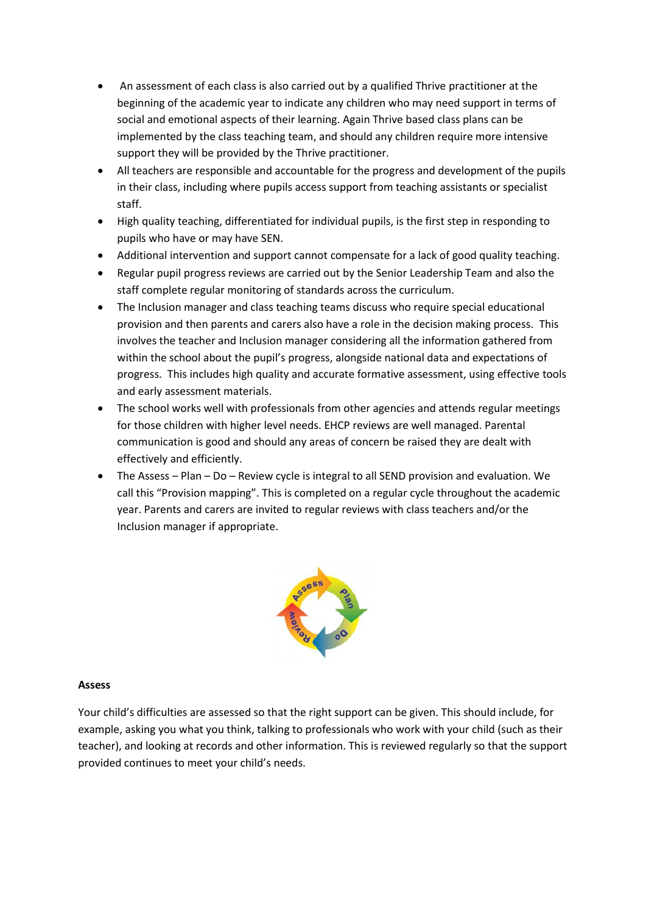- An assessment of each class is also carried out by a qualified Thrive practitioner at the beginning of the academic year to indicate any children who may need support in terms of social and emotional aspects of their learning. Again Thrive based class plans can be implemented by the class teaching team, and should any children require more intensive support they will be provided by the Thrive practitioner.
- All teachers are responsible and accountable for the progress and development of the pupils in their class, including where pupils access support from teaching assistants or specialist staff.
- High quality teaching, differentiated for individual pupils, is the first step in responding to pupils who have or may have SEN.
- Additional intervention and support cannot compensate for a lack of good quality teaching.
- Regular pupil progress reviews are carried out by the Senior Leadership Team and also the staff complete regular monitoring of standards across the curriculum.
- The Inclusion manager and class teaching teams discuss who require special educational provision and then parents and carers also have a role in the decision making process. This involves the teacher and Inclusion manager considering all the information gathered from within the school about the pupil's progress, alongside national data and expectations of progress. This includes high quality and accurate formative assessment, using effective tools and early assessment materials.
- The school works well with professionals from other agencies and attends regular meetings for those children with higher level needs. EHCP reviews are well managed. Parental communication is good and should any areas of concern be raised they are dealt with effectively and efficiently.
- The Assess Plan Do Review cycle is integral to all SEND provision and evaluation. We call this "Provision mapping". This is completed on a regular cycle throughout the academic year. Parents and carers are invited to regular reviews with class teachers and/or the Inclusion manager if appropriate.



#### **Assess**

Your child's difficulties are assessed so that the right support can be given. This should include, for example, asking you what you think, talking to professionals who work with your child (such as their teacher), and looking at records and other information. This is reviewed regularly so that the support provided continues to meet your child's needs.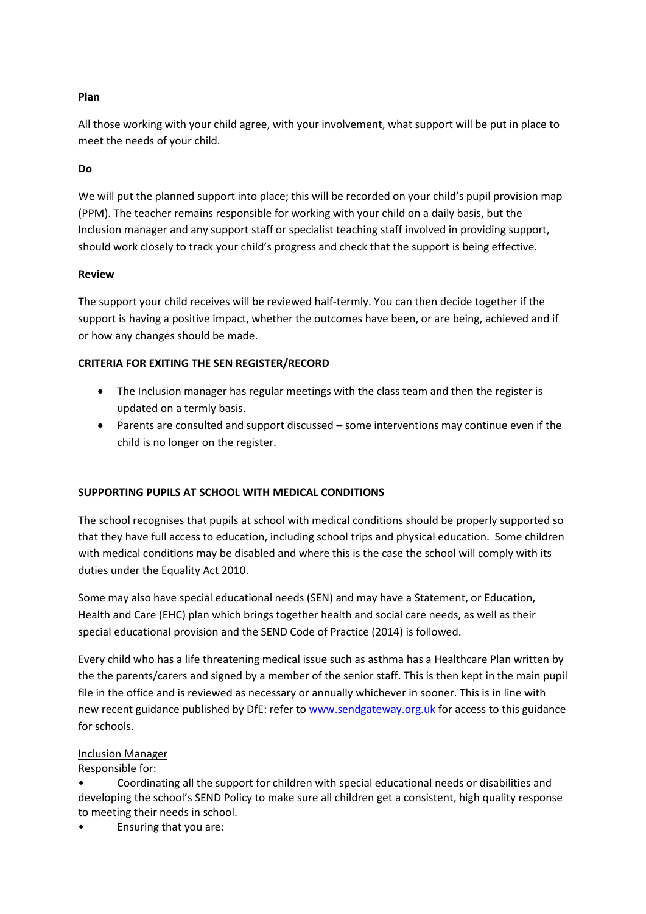# **Plan**

All those working with your child agree, with your involvement, what support will be put in place to meet the needs of your child.

## **Do**

We will put the planned support into place; this will be recorded on your child's pupil provision map (PPM). The teacher remains responsible for working with your child on a daily basis, but the Inclusion manager and any support staff or specialist teaching staff involved in providing support, should work closely to track your child's progress and check that the support is being effective.

#### **Review**

The support your child receives will be reviewed half-termly. You can then decide together if the support is having a positive impact, whether the outcomes have been, or are being, achieved and if or how any changes should be made.

## **CRITERIA FOR EXITING THE SEN REGISTER/RECORD**

- The Inclusion manager has regular meetings with the class team and then the register is updated on a termly basis.
- Parents are consulted and support discussed some interventions may continue even if the child is no longer on the register.

## **SUPPORTING PUPILS AT SCHOOL WITH MEDICAL CONDITIONS**

The school recognises that pupils at school with medical conditions should be properly supported so that they have full access to education, including school trips and physical education. Some children with medical conditions may be disabled and where this is the case the school will comply with its duties under the Equality Act 2010.

Some may also have special educational needs (SEN) and may have a Statement, or Education, Health and Care (EHC) plan which brings together health and social care needs, as well as their special educational provision and the SEND Code of Practice (2014) is followed.

Every child who has a life threatening medical issue such as asthma has a Healthcare Plan written by the the parents/carers and signed by a member of the senior staff. This is then kept in the main pupil file in the office and is reviewed as necessary or annually whichever in sooner. This is in line with new recent guidance published by DfE: refer t[o www.sendgateway.org.uk](http://www.sendgateway.org.uk/) for access to this guidance for schools.

## Inclusion Manager

Responsible for:

• Coordinating all the support for children with special educational needs or disabilities and developing the school's SEND Policy to make sure all children get a consistent, high quality response to meeting their needs in school.

• Ensuring that you are: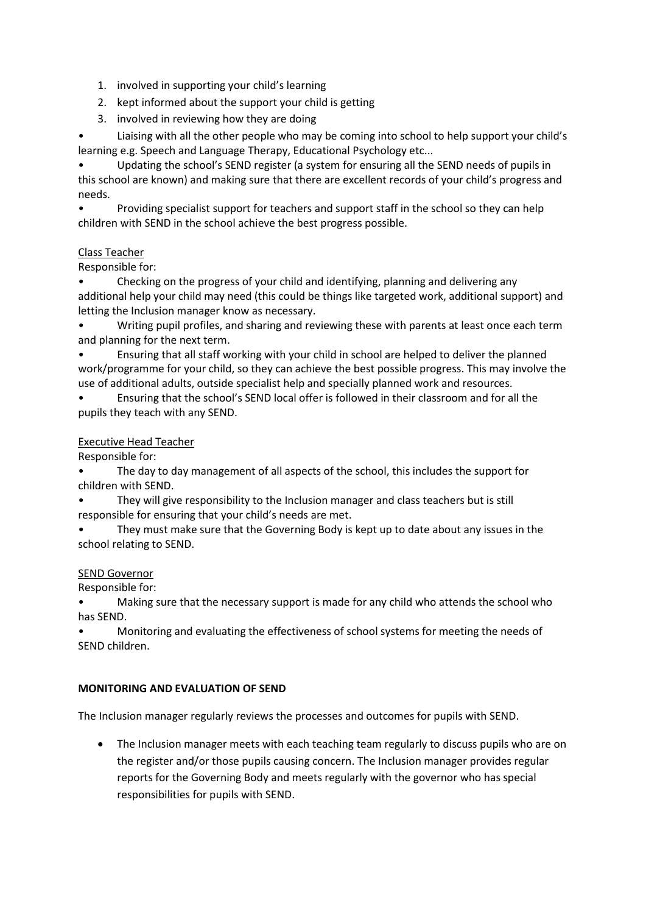- 1. involved in supporting your child's learning
- 2. kept informed about the support your child is getting
- 3. involved in reviewing how they are doing

• Liaising with all the other people who may be coming into school to help support your child's learning e.g. Speech and Language Therapy, Educational Psychology etc...

• Updating the school's SEND register (a system for ensuring all the SEND needs of pupils in this school are known) and making sure that there are excellent records of your child's progress and needs.

• Providing specialist support for teachers and support staff in the school so they can help children with SEND in the school achieve the best progress possible.

## Class Teacher

Responsible for:

• Checking on the progress of your child and identifying, planning and delivering any additional help your child may need (this could be things like targeted work, additional support) and letting the Inclusion manager know as necessary.

• Writing pupil profiles, and sharing and reviewing these with parents at least once each term and planning for the next term.

• Ensuring that all staff working with your child in school are helped to deliver the planned work/programme for your child, so they can achieve the best possible progress. This may involve the use of additional adults, outside specialist help and specially planned work and resources.

• Ensuring that the school's SEND local offer is followed in their classroom and for all the pupils they teach with any SEND.

## Executive Head Teacher

Responsible for:

• The day to day management of all aspects of the school, this includes the support for children with SEND.

They will give responsibility to the Inclusion manager and class teachers but is still responsible for ensuring that your child's needs are met.

• They must make sure that the Governing Body is kept up to date about any issues in the school relating to SEND.

#### SEND Governor

Responsible for:

• Making sure that the necessary support is made for any child who attends the school who has SEND.

• Monitoring and evaluating the effectiveness of school systems for meeting the needs of SEND children.

## **MONITORING AND EVALUATION OF SEND**

The Inclusion manager regularly reviews the processes and outcomes for pupils with SEND.

 The Inclusion manager meets with each teaching team regularly to discuss pupils who are on the register and/or those pupils causing concern. The Inclusion manager provides regular reports for the Governing Body and meets regularly with the governor who has special responsibilities for pupils with SEND.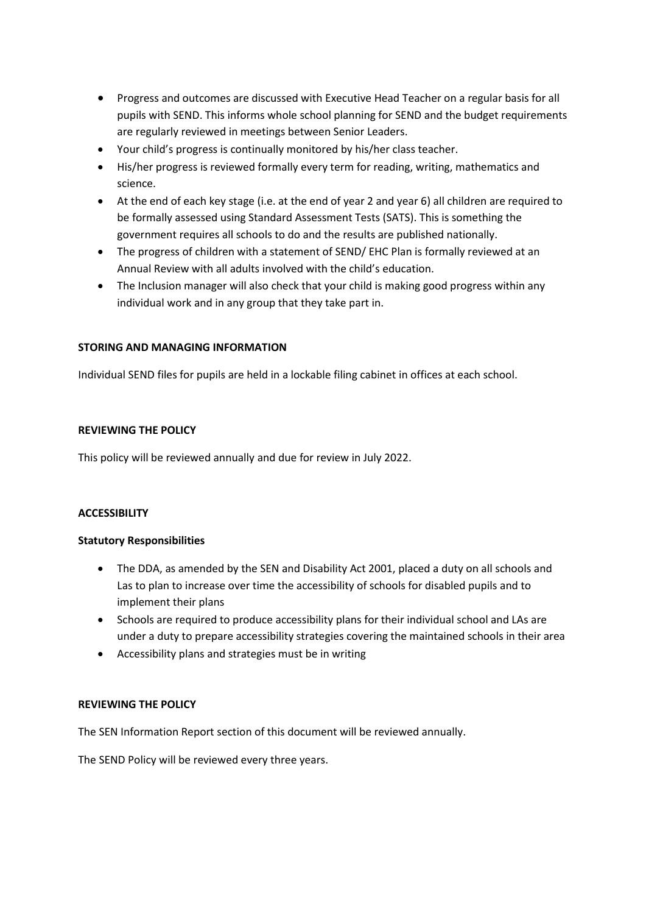- Progress and outcomes are discussed with Executive Head Teacher on a regular basis for all pupils with SEND. This informs whole school planning for SEND and the budget requirements are regularly reviewed in meetings between Senior Leaders.
- Your child's progress is continually monitored by his/her class teacher.
- His/her progress is reviewed formally every term for reading, writing, mathematics and science.
- At the end of each key stage (i.e. at the end of year 2 and year 6) all children are required to be formally assessed using Standard Assessment Tests (SATS). This is something the government requires all schools to do and the results are published nationally.
- The progress of children with a statement of SEND/ EHC Plan is formally reviewed at an Annual Review with all adults involved with the child's education.
- The Inclusion manager will also check that your child is making good progress within any individual work and in any group that they take part in.

#### **STORING AND MANAGING INFORMATION**

Individual SEND files for pupils are held in a lockable filing cabinet in offices at each school.

#### **REVIEWING THE POLICY**

This policy will be reviewed annually and due for review in July 2022.

#### **ACCESSIBILITY**

#### **Statutory Responsibilities**

- The DDA, as amended by the SEN and Disability Act 2001, placed a duty on all schools and Las to plan to increase over time the accessibility of schools for disabled pupils and to implement their plans
- Schools are required to produce accessibility plans for their individual school and LAs are under a duty to prepare accessibility strategies covering the maintained schools in their area
- Accessibility plans and strategies must be in writing

#### **REVIEWING THE POLICY**

The SEN Information Report section of this document will be reviewed annually.

The SEND Policy will be reviewed every three years.